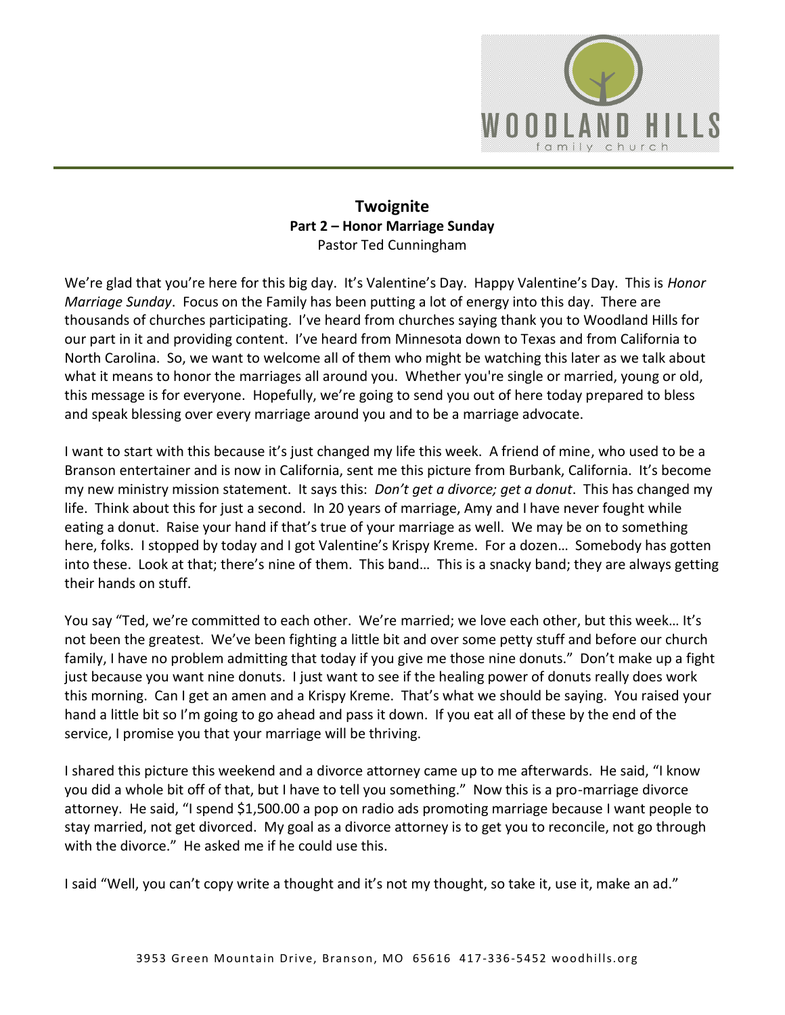

## **Twoignite Part 2 – Honor Marriage Sunday**  Pastor Ted Cunningham

We're glad that you're here for this big day. It's Valentine's Day. Happy Valentine's Day. This is *Honor Marriage Sunday*. Focus on the Family has been putting a lot of energy into this day. There are thousands of churches participating. I've heard from churches saying thank you to Woodland Hills for our part in it and providing content. I've heard from Minnesota down to Texas and from California to North Carolina. So, we want to welcome all of them who might be watching this later as we talk about what it means to honor the marriages all around you. Whether you're single or married, young or old, this message is for everyone. Hopefully, we're going to send you out of here today prepared to bless and speak blessing over every marriage around you and to be a marriage advocate.

I want to start with this because it's just changed my life this week. A friend of mine, who used to be a Branson entertainer and is now in California, sent me this picture from Burbank, California. It's become my new ministry mission statement. It says this: *Don't get a divorce; get a donut*. This has changed my life. Think about this for just a second. In 20 years of marriage, Amy and I have never fought while eating a donut. Raise your hand if that's true of your marriage as well. We may be on to something here, folks. I stopped by today and I got Valentine's Krispy Kreme. For a dozen… Somebody has gotten into these. Look at that; there's nine of them. This band… This is a snacky band; they are always getting their hands on stuff.

You say "Ted, we're committed to each other. We're married; we love each other, but this week… It's not been the greatest. We've been fighting a little bit and over some petty stuff and before our church family, I have no problem admitting that today if you give me those nine donuts." Don't make up a fight just because you want nine donuts. I just want to see if the healing power of donuts really does work this morning. Can I get an amen and a Krispy Kreme. That's what we should be saying. You raised your hand a little bit so I'm going to go ahead and pass it down. If you eat all of these by the end of the service, I promise you that your marriage will be thriving.

I shared this picture this weekend and a divorce attorney came up to me afterwards. He said, "I know you did a whole bit off of that, but I have to tell you something." Now this is a pro-marriage divorce attorney. He said, "I spend \$1,500.00 a pop on radio ads promoting marriage because I want people to stay married, not get divorced. My goal as a divorce attorney is to get you to reconcile, not go through with the divorce." He asked me if he could use this.

I said "Well, you can't copy write a thought and it's not my thought, so take it, use it, make an ad."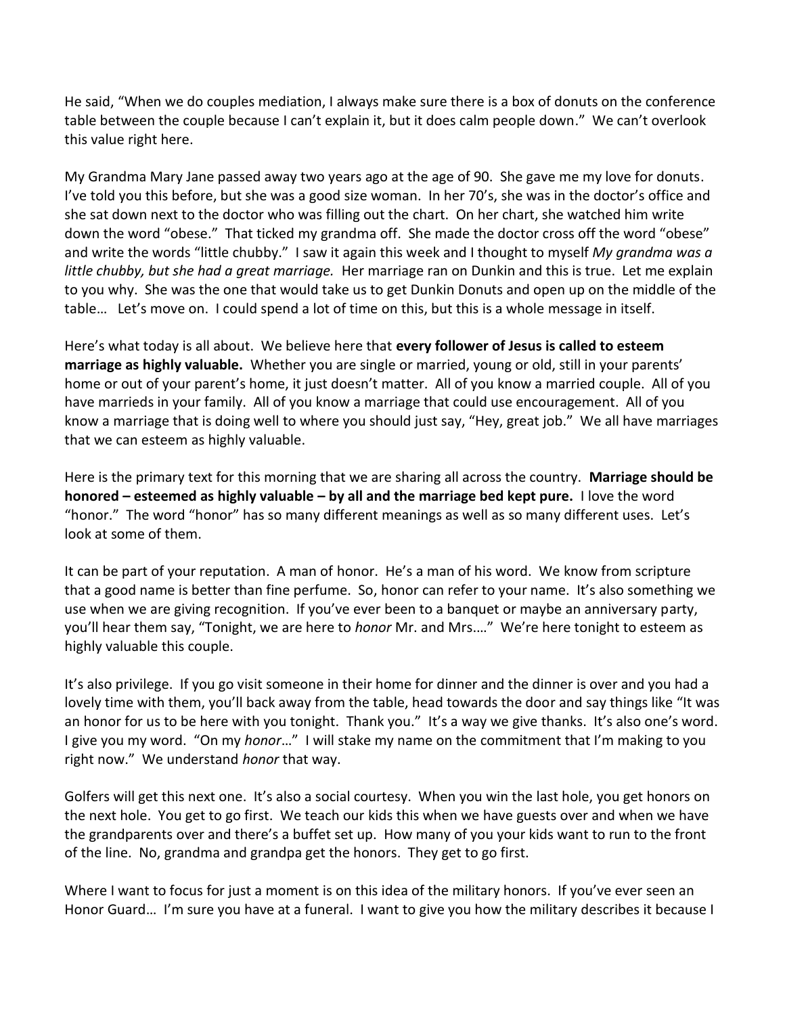He said, "When we do couples mediation, I always make sure there is a box of donuts on the conference table between the couple because I can't explain it, but it does calm people down." We can't overlook this value right here.

My Grandma Mary Jane passed away two years ago at the age of 90. She gave me my love for donuts. I've told you this before, but she was a good size woman. In her 70's, she was in the doctor's office and she sat down next to the doctor who was filling out the chart. On her chart, she watched him write down the word "obese." That ticked my grandma off. She made the doctor cross off the word "obese" and write the words "little chubby." I saw it again this week and I thought to myself *My grandma was a little chubby, but she had a great marriage.* Her marriage ran on Dunkin and this is true. Let me explain to you why. She was the one that would take us to get Dunkin Donuts and open up on the middle of the table… Let's move on. I could spend a lot of time on this, but this is a whole message in itself.

Here's what today is all about. We believe here that **every follower of Jesus is called to esteem marriage as highly valuable.** Whether you are single or married, young or old, still in your parents' home or out of your parent's home, it just doesn't matter. All of you know a married couple. All of you have marrieds in your family. All of you know a marriage that could use encouragement. All of you know a marriage that is doing well to where you should just say, "Hey, great job." We all have marriages that we can esteem as highly valuable.

Here is the primary text for this morning that we are sharing all across the country. **Marriage should be honored – esteemed as highly valuable – by all and the marriage bed kept pure.** I love the word "honor." The word "honor" has so many different meanings as well as so many different uses. Let's look at some of them.

It can be part of your reputation. A man of honor. He's a man of his word. We know from scripture that a good name is better than fine perfume. So, honor can refer to your name. It's also something we use when we are giving recognition. If you've ever been to a banquet or maybe an anniversary party, you'll hear them say, "Tonight, we are here to *honor* Mr. and Mrs.…" We're here tonight to esteem as highly valuable this couple.

It's also privilege. If you go visit someone in their home for dinner and the dinner is over and you had a lovely time with them, you'll back away from the table, head towards the door and say things like "It was an honor for us to be here with you tonight. Thank you." It's a way we give thanks. It's also one's word. I give you my word. "On my *honor*…" I will stake my name on the commitment that I'm making to you right now." We understand *honor* that way.

Golfers will get this next one. It's also a social courtesy. When you win the last hole, you get honors on the next hole. You get to go first. We teach our kids this when we have guests over and when we have the grandparents over and there's a buffet set up. How many of you your kids want to run to the front of the line. No, grandma and grandpa get the honors. They get to go first.

Where I want to focus for just a moment is on this idea of the military honors. If you've ever seen an Honor Guard… I'm sure you have at a funeral. I want to give you how the military describes it because I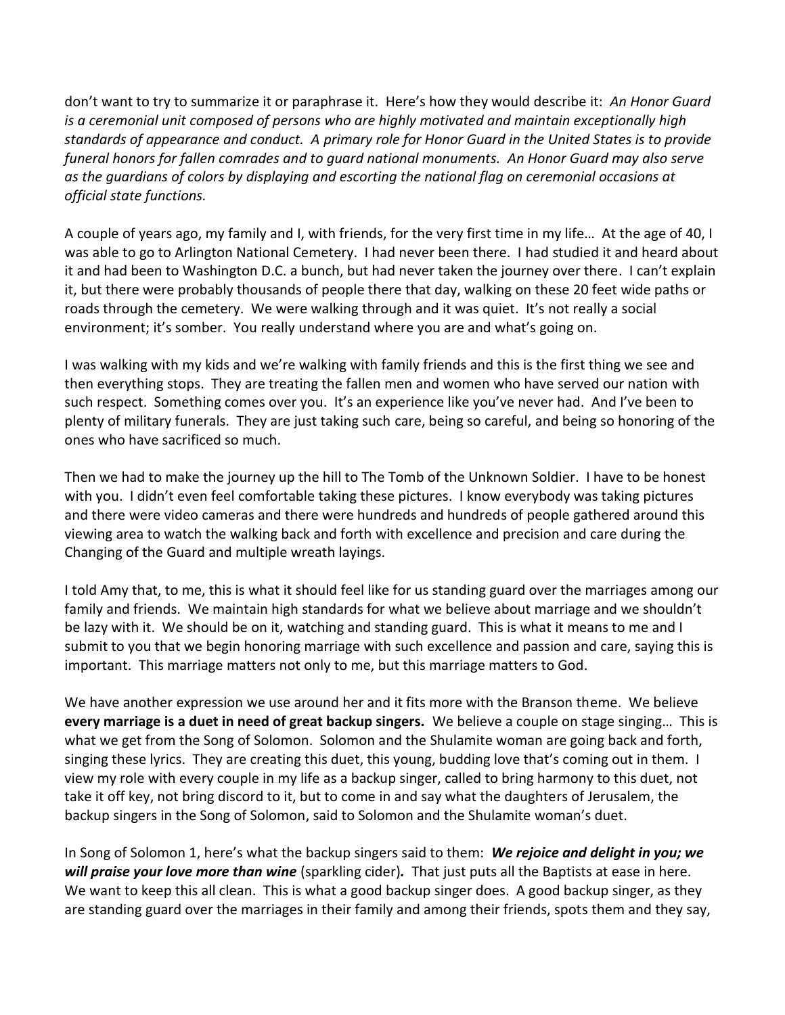don't want to try to summarize it or paraphrase it. Here's how they would describe it: *An Honor Guard is a ceremonial unit composed of persons who are highly motivated and maintain exceptionally high standards of appearance and conduct. A primary role for Honor Guard in the United States is to provide funeral honors for fallen comrades and to guard national monuments. An Honor Guard may also serve as the guardians of colors by displaying and escorting the national flag on ceremonial occasions at official state functions.* 

A couple of years ago, my family and I, with friends, for the very first time in my life… At the age of 40, I was able to go to Arlington National Cemetery. I had never been there. I had studied it and heard about it and had been to Washington D.C. a bunch, but had never taken the journey over there. I can't explain it, but there were probably thousands of people there that day, walking on these 20 feet wide paths or roads through the cemetery. We were walking through and it was quiet. It's not really a social environment; it's somber. You really understand where you are and what's going on.

I was walking with my kids and we're walking with family friends and this is the first thing we see and then everything stops. They are treating the fallen men and women who have served our nation with such respect. Something comes over you. It's an experience like you've never had. And I've been to plenty of military funerals. They are just taking such care, being so careful, and being so honoring of the ones who have sacrificed so much.

Then we had to make the journey up the hill to The Tomb of the Unknown Soldier. I have to be honest with you. I didn't even feel comfortable taking these pictures. I know everybody was taking pictures and there were video cameras and there were hundreds and hundreds of people gathered around this viewing area to watch the walking back and forth with excellence and precision and care during the Changing of the Guard and multiple wreath layings.

I told Amy that, to me, this is what it should feel like for us standing guard over the marriages among our family and friends. We maintain high standards for what we believe about marriage and we shouldn't be lazy with it. We should be on it, watching and standing guard. This is what it means to me and I submit to you that we begin honoring marriage with such excellence and passion and care, saying this is important. This marriage matters not only to me, but this marriage matters to God.

We have another expression we use around her and it fits more with the Branson theme. We believe **every marriage is a duet in need of great backup singers.** We believe a couple on stage singing… This is what we get from the Song of Solomon. Solomon and the Shulamite woman are going back and forth, singing these lyrics. They are creating this duet, this young, budding love that's coming out in them. I view my role with every couple in my life as a backup singer, called to bring harmony to this duet, not take it off key, not bring discord to it, but to come in and say what the daughters of Jerusalem, the backup singers in the Song of Solomon, said to Solomon and the Shulamite woman's duet.

In Song of Solomon 1, here's what the backup singers said to them: *We rejoice and delight in you; we will praise your love more than wine* (sparkling cider)*.* That just puts all the Baptists at ease in here. We want to keep this all clean. This is what a good backup singer does. A good backup singer, as they are standing guard over the marriages in their family and among their friends, spots them and they say,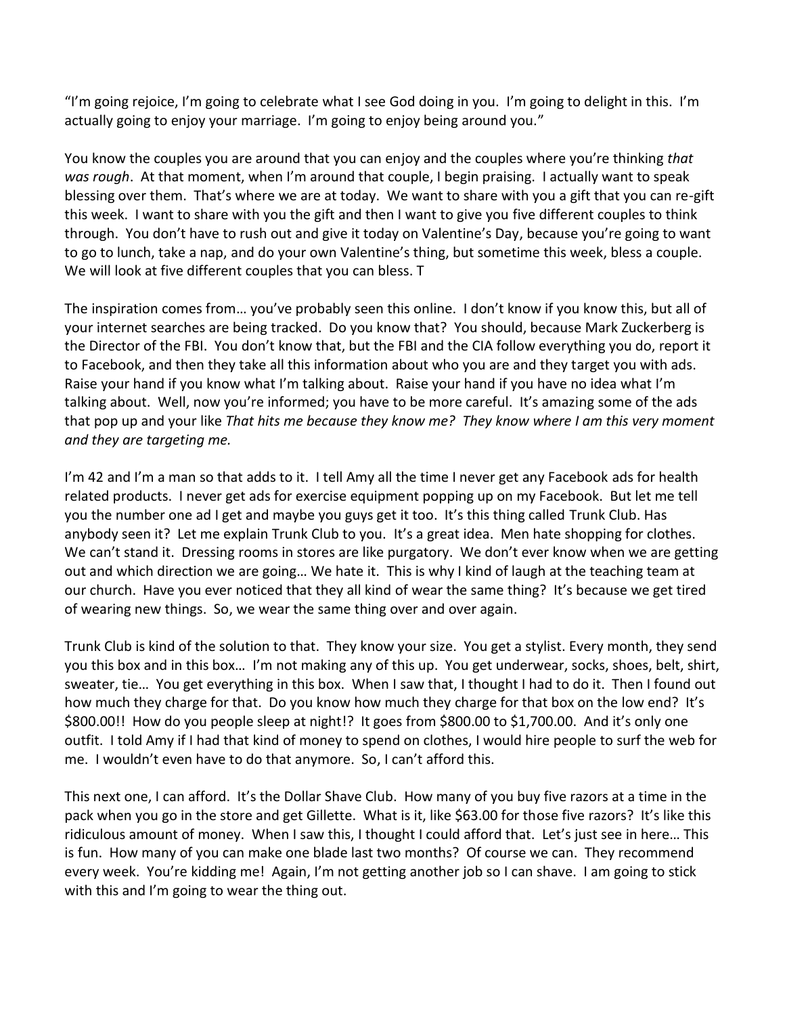"I'm going rejoice, I'm going to celebrate what I see God doing in you. I'm going to delight in this. I'm actually going to enjoy your marriage. I'm going to enjoy being around you."

You know the couples you are around that you can enjoy and the couples where you're thinking *that was rough*. At that moment, when I'm around that couple, I begin praising. I actually want to speak blessing over them. That's where we are at today. We want to share with you a gift that you can re-gift this week. I want to share with you the gift and then I want to give you five different couples to think through. You don't have to rush out and give it today on Valentine's Day, because you're going to want to go to lunch, take a nap, and do your own Valentine's thing, but sometime this week, bless a couple. We will look at five different couples that you can bless. T

The inspiration comes from… you've probably seen this online. I don't know if you know this, but all of your internet searches are being tracked. Do you know that? You should, because Mark Zuckerberg is the Director of the FBI. You don't know that, but the FBI and the CIA follow everything you do, report it to Facebook, and then they take all this information about who you are and they target you with ads. Raise your hand if you know what I'm talking about. Raise your hand if you have no idea what I'm talking about. Well, now you're informed; you have to be more careful. It's amazing some of the ads that pop up and your like *That hits me because they know me? They know where I am this very moment and they are targeting me.* 

I'm 42 and I'm a man so that adds to it. I tell Amy all the time I never get any Facebook ads for health related products. I never get ads for exercise equipment popping up on my Facebook. But let me tell you the number one ad I get and maybe you guys get it too. It's this thing called Trunk Club. Has anybody seen it? Let me explain Trunk Club to you. It's a great idea. Men hate shopping for clothes. We can't stand it. Dressing rooms in stores are like purgatory. We don't ever know when we are getting out and which direction we are going… We hate it. This is why I kind of laugh at the teaching team at our church. Have you ever noticed that they all kind of wear the same thing? It's because we get tired of wearing new things. So, we wear the same thing over and over again.

Trunk Club is kind of the solution to that. They know your size. You get a stylist. Every month, they send you this box and in this box… I'm not making any of this up. You get underwear, socks, shoes, belt, shirt, sweater, tie… You get everything in this box. When I saw that, I thought I had to do it. Then I found out how much they charge for that. Do you know how much they charge for that box on the low end? It's \$800.00!! How do you people sleep at night!? It goes from \$800.00 to \$1,700.00. And it's only one outfit. I told Amy if I had that kind of money to spend on clothes, I would hire people to surf the web for me. I wouldn't even have to do that anymore. So, I can't afford this.

This next one, I can afford. It's the Dollar Shave Club. How many of you buy five razors at a time in the pack when you go in the store and get Gillette. What is it, like \$63.00 for those five razors? It's like this ridiculous amount of money. When I saw this, I thought I could afford that. Let's just see in here… This is fun. How many of you can make one blade last two months? Of course we can. They recommend every week. You're kidding me! Again, I'm not getting another job so I can shave. I am going to stick with this and I'm going to wear the thing out.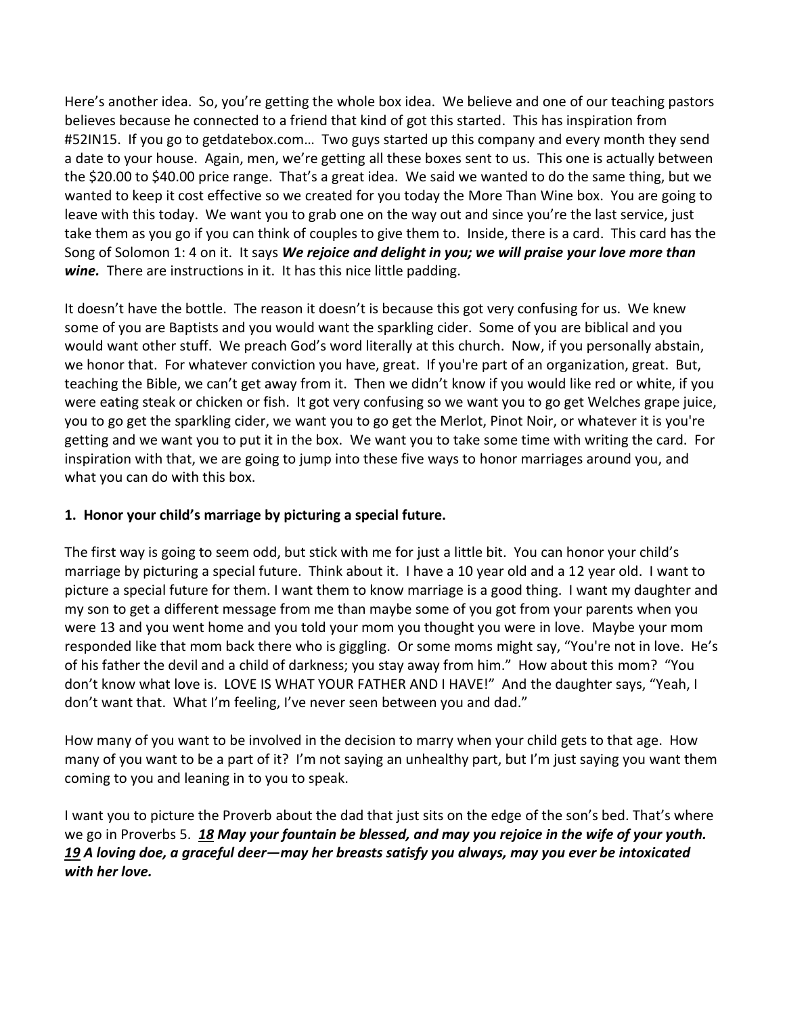Here's another idea. So, you're getting the whole box idea. We believe and one of our teaching pastors believes because he connected to a friend that kind of got this started. This has inspiration from #52IN15. If you go to getdatebox.com… Two guys started up this company and every month they send a date to your house. Again, men, we're getting all these boxes sent to us. This one is actually between the \$20.00 to \$40.00 price range. That's a great idea. We said we wanted to do the same thing, but we wanted to keep it cost effective so we created for you today the More Than Wine box. You are going to leave with this today. We want you to grab one on the way out and since you're the last service, just take them as you go if you can think of couples to give them to. Inside, there is a card. This card has the Song of Solomon 1: 4 on it. It says *We rejoice and delight in you; we will praise your love more than wine.* There are instructions in it. It has this nice little padding.

It doesn't have the bottle. The reason it doesn't is because this got very confusing for us. We knew some of you are Baptists and you would want the sparkling cider. Some of you are biblical and you would want other stuff. We preach God's word literally at this church. Now, if you personally abstain, we honor that. For whatever conviction you have, great. If you're part of an organization, great. But, teaching the Bible, we can't get away from it. Then we didn't know if you would like red or white, if you were eating steak or chicken or fish. It got very confusing so we want you to go get Welches grape juice, you to go get the sparkling cider, we want you to go get the Merlot, Pinot Noir, or whatever it is you're getting and we want you to put it in the box. We want you to take some time with writing the card. For inspiration with that, we are going to jump into these five ways to honor marriages around you, and what you can do with this box.

## **1. Honor your child's marriage by picturing a special future.**

The first way is going to seem odd, but stick with me for just a little bit. You can honor your child's marriage by picturing a special future. Think about it. I have a 10 year old and a 12 year old. I want to picture a special future for them. I want them to know marriage is a good thing. I want my daughter and my son to get a different message from me than maybe some of you got from your parents when you were 13 and you went home and you told your mom you thought you were in love. Maybe your mom responded like that mom back there who is giggling. Or some moms might say, "You're not in love. He's of his father the devil and a child of darkness; you stay away from him." How about this mom? "You don't know what love is. LOVE IS WHAT YOUR FATHER AND I HAVE!" And the daughter says, "Yeah, I don't want that. What I'm feeling, I've never seen between you and dad."

How many of you want to be involved in the decision to marry when your child gets to that age. How many of you want to be a part of it? I'm not saying an unhealthy part, but I'm just saying you want them coming to you and leaning in to you to speak.

I want you to picture the Proverb about the dad that just sits on the edge of the son's bed. That's where we go in Proverbs 5. *[18](http://www.studylight.org/desk/?q=pr%205:18&t1=en_niv&sr=1) May your fountain be blessed, and may you rejoice in the wife of your youth. [19](http://www.studylight.org/desk/?q=pr%205:19&t1=en_niv&sr=1) A loving doe, a graceful deer—may her breasts satisfy you always, may you ever be intoxicated with her love.*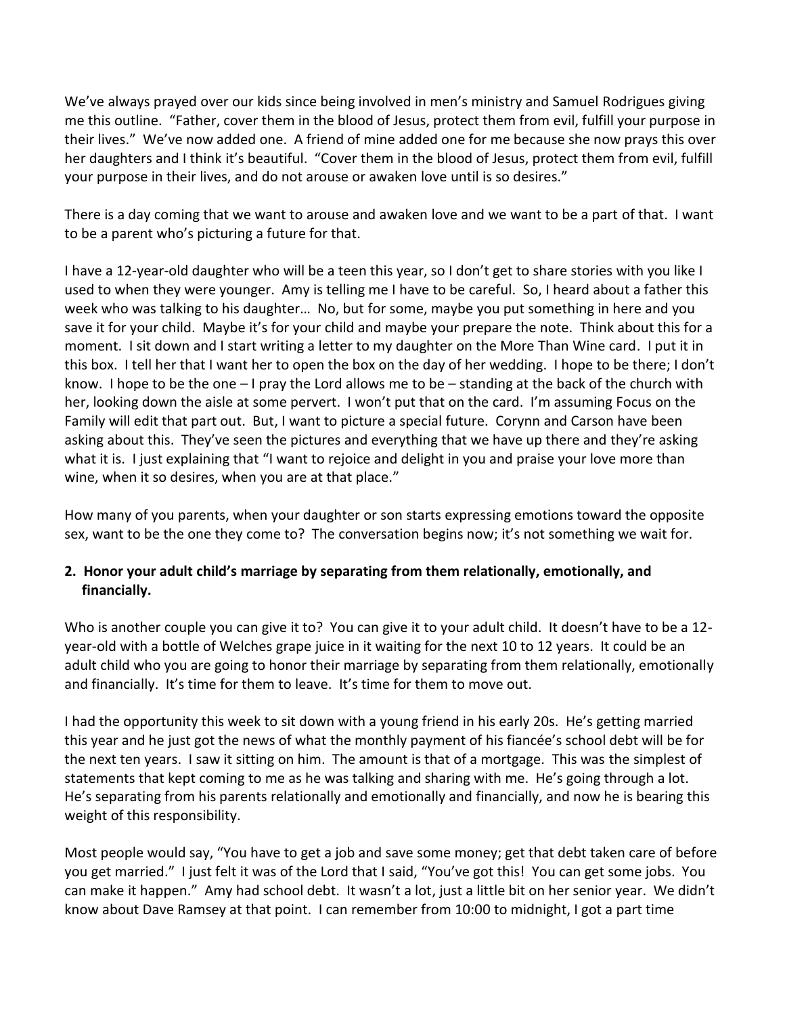We've always prayed over our kids since being involved in men's ministry and Samuel Rodrigues giving me this outline. "Father, cover them in the blood of Jesus, protect them from evil, fulfill your purpose in their lives." We've now added one. A friend of mine added one for me because she now prays this over her daughters and I think it's beautiful. "Cover them in the blood of Jesus, protect them from evil, fulfill your purpose in their lives, and do not arouse or awaken love until is so desires."

There is a day coming that we want to arouse and awaken love and we want to be a part of that. I want to be a parent who's picturing a future for that.

I have a 12-year-old daughter who will be a teen this year, so I don't get to share stories with you like I used to when they were younger. Amy is telling me I have to be careful. So, I heard about a father this week who was talking to his daughter… No, but for some, maybe you put something in here and you save it for your child. Maybe it's for your child and maybe your prepare the note. Think about this for a moment. I sit down and I start writing a letter to my daughter on the More Than Wine card. I put it in this box. I tell her that I want her to open the box on the day of her wedding. I hope to be there; I don't know. I hope to be the one – I pray the Lord allows me to be – standing at the back of the church with her, looking down the aisle at some pervert. I won't put that on the card. I'm assuming Focus on the Family will edit that part out. But, I want to picture a special future. Corynn and Carson have been asking about this. They've seen the pictures and everything that we have up there and they're asking what it is. I just explaining that "I want to rejoice and delight in you and praise your love more than wine, when it so desires, when you are at that place."

How many of you parents, when your daughter or son starts expressing emotions toward the opposite sex, want to be the one they come to? The conversation begins now; it's not something we wait for.

# **2. Honor your adult child's marriage by separating from them relationally, emotionally, and financially.**

Who is another couple you can give it to? You can give it to your adult child. It doesn't have to be a 12year-old with a bottle of Welches grape juice in it waiting for the next 10 to 12 years. It could be an adult child who you are going to honor their marriage by separating from them relationally, emotionally and financially. It's time for them to leave. It's time for them to move out.

I had the opportunity this week to sit down with a young friend in his early 20s. He's getting married this year and he just got the news of what the monthly payment of his fiancée's school debt will be for the next ten years. I saw it sitting on him. The amount is that of a mortgage. This was the simplest of statements that kept coming to me as he was talking and sharing with me. He's going through a lot. He's separating from his parents relationally and emotionally and financially, and now he is bearing this weight of this responsibility.

Most people would say, "You have to get a job and save some money; get that debt taken care of before you get married." I just felt it was of the Lord that I said, "You've got this! You can get some jobs. You can make it happen." Amy had school debt. It wasn't a lot, just a little bit on her senior year. We didn't know about Dave Ramsey at that point. I can remember from 10:00 to midnight, I got a part time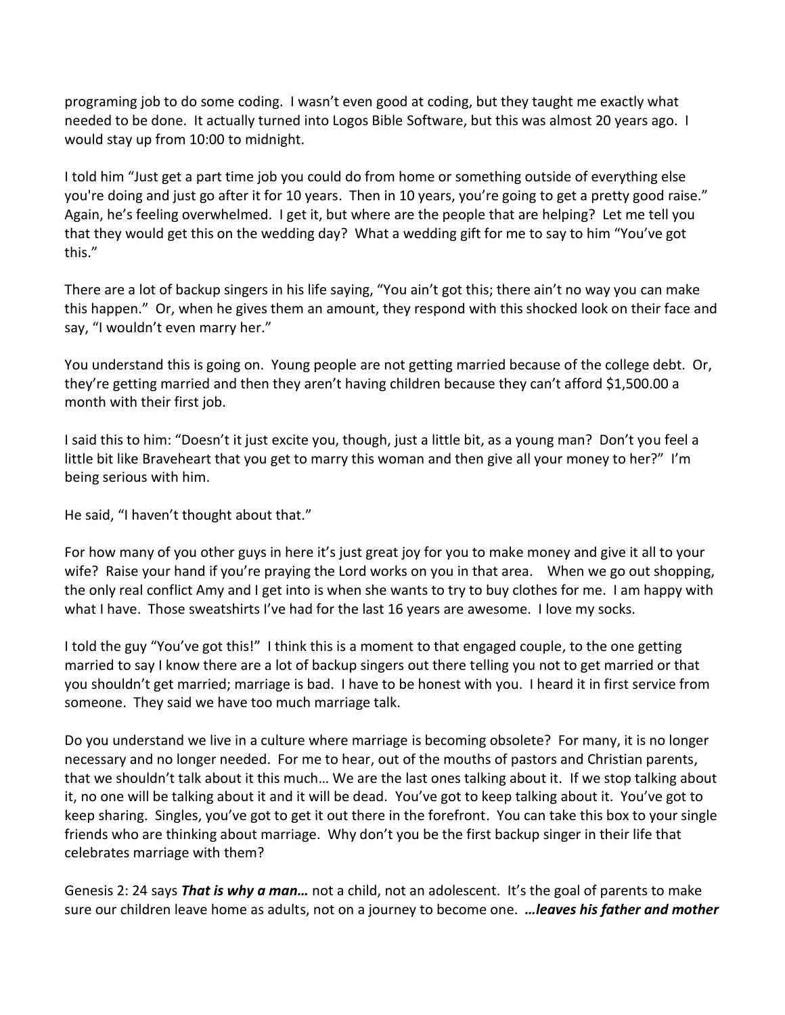programing job to do some coding. I wasn't even good at coding, but they taught me exactly what needed to be done. It actually turned into Logos Bible Software, but this was almost 20 years ago. I would stay up from 10:00 to midnight.

I told him "Just get a part time job you could do from home or something outside of everything else you're doing and just go after it for 10 years. Then in 10 years, you're going to get a pretty good raise." Again, he's feeling overwhelmed. I get it, but where are the people that are helping? Let me tell you that they would get this on the wedding day? What a wedding gift for me to say to him "You've got this."

There are a lot of backup singers in his life saying, "You ain't got this; there ain't no way you can make this happen." Or, when he gives them an amount, they respond with this shocked look on their face and say, "I wouldn't even marry her."

You understand this is going on. Young people are not getting married because of the college debt. Or, they're getting married and then they aren't having children because they can't afford \$1,500.00 a month with their first job.

I said this to him: "Doesn't it just excite you, though, just a little bit, as a young man? Don't you feel a little bit like Braveheart that you get to marry this woman and then give all your money to her?" I'm being serious with him.

He said, "I haven't thought about that."

For how many of you other guys in here it's just great joy for you to make money and give it all to your wife? Raise your hand if you're praying the Lord works on you in that area. When we go out shopping, the only real conflict Amy and I get into is when she wants to try to buy clothes for me. I am happy with what I have. Those sweatshirts I've had for the last 16 years are awesome. I love my socks.

I told the guy "You've got this!" I think this is a moment to that engaged couple, to the one getting married to say I know there are a lot of backup singers out there telling you not to get married or that you shouldn't get married; marriage is bad. I have to be honest with you. I heard it in first service from someone. They said we have too much marriage talk.

Do you understand we live in a culture where marriage is becoming obsolete? For many, it is no longer necessary and no longer needed. For me to hear, out of the mouths of pastors and Christian parents, that we shouldn't talk about it this much… We are the last ones talking about it. If we stop talking about it, no one will be talking about it and it will be dead. You've got to keep talking about it. You've got to keep sharing. Singles, you've got to get it out there in the forefront. You can take this box to your single friends who are thinking about marriage. Why don't you be the first backup singer in their life that celebrates marriage with them?

Genesis 2: 24 says *That is why a man…* not a child, not an adolescent. It's the goal of parents to make sure our children leave home as adults, not on a journey to become one. *…leaves his father and mother*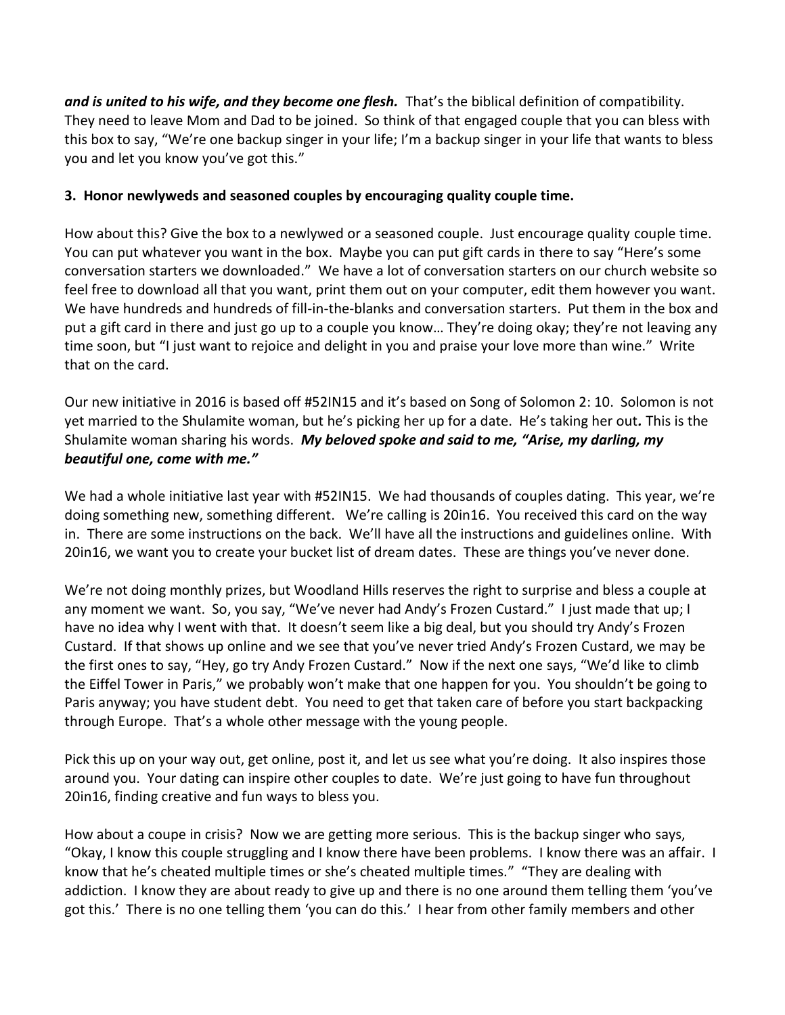*and is united to his wife, and they become one flesh.* That's the biblical definition of compatibility. They need to leave Mom and Dad to be joined. So think of that engaged couple that you can bless with this box to say, "We're one backup singer in your life; I'm a backup singer in your life that wants to bless you and let you know you've got this."

### **3. Honor newlyweds and seasoned couples by encouraging quality couple time.**

How about this? Give the box to a newlywed or a seasoned couple. Just encourage quality couple time. You can put whatever you want in the box. Maybe you can put gift cards in there to say "Here's some conversation starters we downloaded." We have a lot of conversation starters on our church website so feel free to download all that you want, print them out on your computer, edit them however you want. We have hundreds and hundreds of fill-in-the-blanks and conversation starters. Put them in the box and put a gift card in there and just go up to a couple you know… They're doing okay; they're not leaving any time soon, but "I just want to rejoice and delight in you and praise your love more than wine." Write that on the card.

Our new initiative in 2016 is based off #52IN15 and it's based on Song of Solomon 2: 10. Solomon is not yet married to the Shulamite woman, but he's picking her up for a date. He's taking her out*.* This is the Shulamite woman sharing his words. *My beloved spoke and said to me, "Arise, my darling, my beautiful one, come with me."*

We had a whole initiative last year with #52IN15. We had thousands of couples dating. This year, we're doing something new, something different. We're calling is 20in16. You received this card on the way in. There are some instructions on the back. We'll have all the instructions and guidelines online. With 20in16, we want you to create your bucket list of dream dates. These are things you've never done.

We're not doing monthly prizes, but Woodland Hills reserves the right to surprise and bless a couple at any moment we want. So, you say, "We've never had Andy's Frozen Custard." I just made that up; I have no idea why I went with that. It doesn't seem like a big deal, but you should try Andy's Frozen Custard. If that shows up online and we see that you've never tried Andy's Frozen Custard, we may be the first ones to say, "Hey, go try Andy Frozen Custard." Now if the next one says, "We'd like to climb the Eiffel Tower in Paris," we probably won't make that one happen for you. You shouldn't be going to Paris anyway; you have student debt. You need to get that taken care of before you start backpacking through Europe. That's a whole other message with the young people.

Pick this up on your way out, get online, post it, and let us see what you're doing. It also inspires those around you. Your dating can inspire other couples to date. We're just going to have fun throughout 20in16, finding creative and fun ways to bless you.

How about a coupe in crisis? Now we are getting more serious. This is the backup singer who says, "Okay, I know this couple struggling and I know there have been problems. I know there was an affair. I know that he's cheated multiple times or she's cheated multiple times." "They are dealing with addiction. I know they are about ready to give up and there is no one around them telling them 'you've got this.' There is no one telling them 'you can do this.' I hear from other family members and other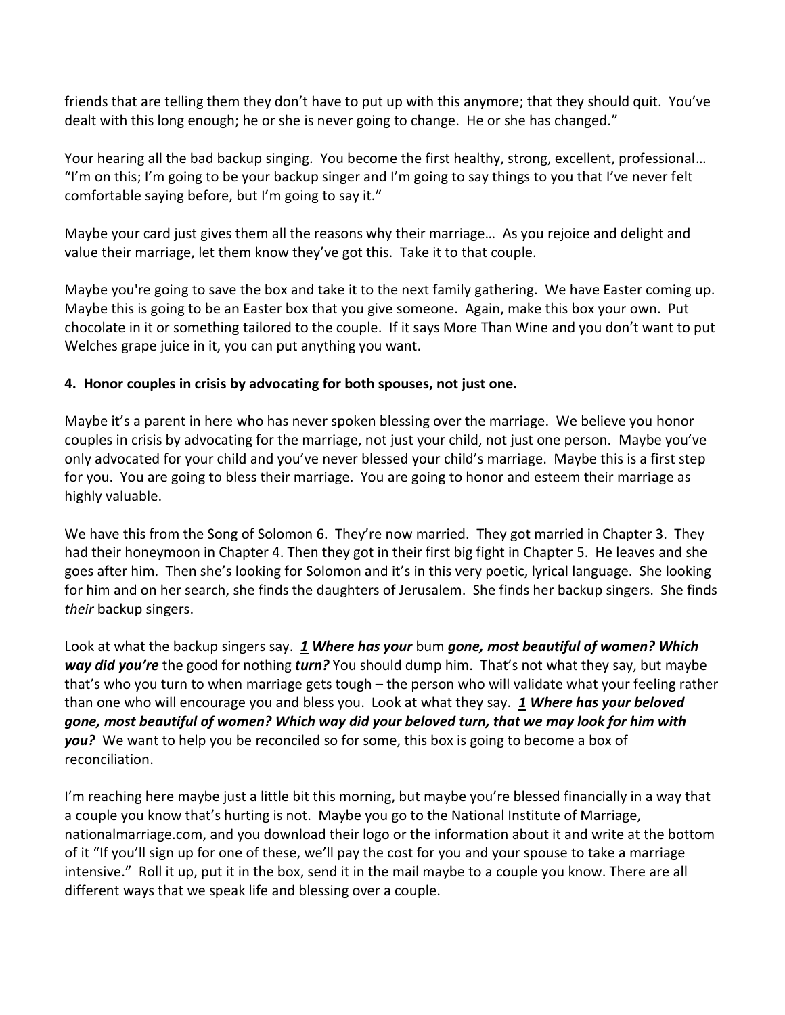friends that are telling them they don't have to put up with this anymore; that they should quit. You've dealt with this long enough; he or she is never going to change. He or she has changed."

Your hearing all the bad backup singing. You become the first healthy, strong, excellent, professional… "I'm on this; I'm going to be your backup singer and I'm going to say things to you that I've never felt comfortable saying before, but I'm going to say it."

Maybe your card just gives them all the reasons why their marriage… As you rejoice and delight and value their marriage, let them know they've got this. Take it to that couple.

Maybe you're going to save the box and take it to the next family gathering. We have Easter coming up. Maybe this is going to be an Easter box that you give someone. Again, make this box your own. Put chocolate in it or something tailored to the couple. If it says More Than Wine and you don't want to put Welches grape juice in it, you can put anything you want.

# **4. Honor couples in crisis by advocating for both spouses, not just one.**

Maybe it's a parent in here who has never spoken blessing over the marriage. We believe you honor couples in crisis by advocating for the marriage, not just your child, not just one person. Maybe you've only advocated for your child and you've never blessed your child's marriage. Maybe this is a first step for you. You are going to bless their marriage. You are going to honor and esteem their marriage as highly valuable.

We have this from the Song of Solomon 6. They're now married. They got married in Chapter 3. They had their honeymoon in Chapter 4. Then they got in their first big fight in Chapter 5. He leaves and she goes after him. Then she's looking for Solomon and it's in this very poetic, lyrical language. She looking for him and on her search, she finds the daughters of Jerusalem. She finds her backup singers. She finds *their* backup singers.

Look at what the backup singers say. *[1](http://www.studylight.org/desk/?q=so%206:1&t1=en_niv&sr=1) Where has your* bum *gone, most beautiful of women? Which way did you're* the good for nothing *turn?* You should dump him. That's not what they say, but maybe that's who you turn to when marriage gets tough – the person who will validate what your feeling rather than one who will encourage you and bless you. Look at what they say. *[1](http://www.studylight.org/desk/?q=so%206:1&t1=en_niv&sr=1) Where has your beloved gone, most beautiful of women? Which way did your beloved turn, that we may look for him with you?* We want to help you be reconciled so for some, this box is going to become a box of reconciliation.

I'm reaching here maybe just a little bit this morning, but maybe you're blessed financially in a way that a couple you know that's hurting is not. Maybe you go to the National Institute of Marriage, nationalmarriage.com, and you download their logo or the information about it and write at the bottom of it "If you'll sign up for one of these, we'll pay the cost for you and your spouse to take a marriage intensive." Roll it up, put it in the box, send it in the mail maybe to a couple you know. There are all different ways that we speak life and blessing over a couple.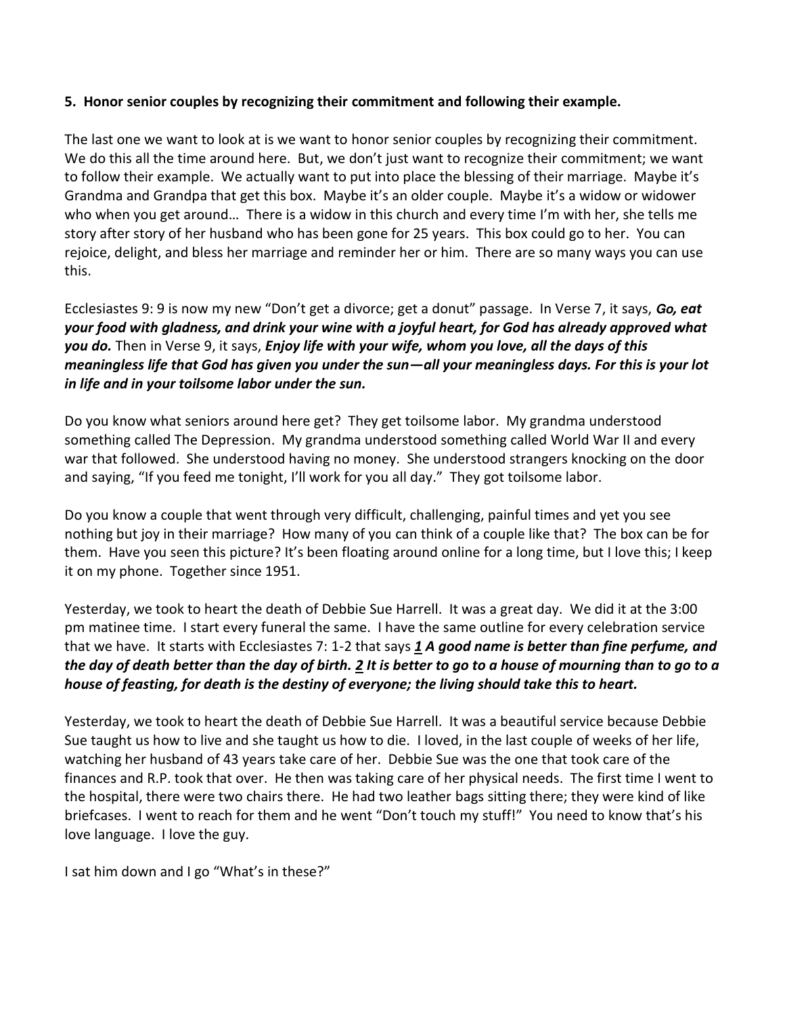#### **5. Honor senior couples by recognizing their commitment and following their example.**

The last one we want to look at is we want to honor senior couples by recognizing their commitment. We do this all the time around here. But, we don't just want to recognize their commitment; we want to follow their example. We actually want to put into place the blessing of their marriage. Maybe it's Grandma and Grandpa that get this box. Maybe it's an older couple. Maybe it's a widow or widower who when you get around… There is a widow in this church and every time I'm with her, she tells me story after story of her husband who has been gone for 25 years. This box could go to her. You can rejoice, delight, and bless her marriage and reminder her or him. There are so many ways you can use this.

Ecclesiastes 9: 9 is now my new "Don't get a divorce; get a donut" passage. In Verse 7, it says, **Go***, eat your food with gladness, and drink your wine with a joyful heart, for God has already approved what you do.* Then in Verse 9, it says, *Enjoy life with your wife, whom you love, all the days of this meaningless life that God has given you under the sun—all your meaningless days. For this is your lot in life and in your toilsome labor under the sun.*

Do you know what seniors around here get? They get toilsome labor. My grandma understood something called The Depression. My grandma understood something called World War II and every war that followed. She understood having no money. She understood strangers knocking on the door and saying, "If you feed me tonight, I'll work for you all day." They got toilsome labor.

Do you know a couple that went through very difficult, challenging, painful times and yet you see nothing but joy in their marriage? How many of you can think of a couple like that? The box can be for them. Have you seen this picture? It's been floating around online for a long time, but I love this; I keep it on my phone. Together since 1951.

Yesterday, we took to heart the death of Debbie Sue Harrell. It was a great day. We did it at the 3:00 pm matinee time. I start every funeral the same. I have the same outline for every celebration service that we have. It starts with Ecclesiastes 7: 1-2 that says *[1](http://www.studylight.org/desk/?q=ec%207:1&t1=en_niv&sr=1) A good name is better than fine perfume, and the day of death better than the day of birth. [2](http://www.studylight.org/desk/?q=ec%207:2&t1=en_niv&sr=1) It is better to go to a house of mourning than to go to a house of feasting, for death is the destiny of everyone; the living should take this to heart.*

Yesterday, we took to heart the death of Debbie Sue Harrell. It was a beautiful service because Debbie Sue taught us how to live and she taught us how to die. I loved, in the last couple of weeks of her life, watching her husband of 43 years take care of her. Debbie Sue was the one that took care of the finances and R.P. took that over. He then was taking care of her physical needs. The first time I went to the hospital, there were two chairs there. He had two leather bags sitting there; they were kind of like briefcases. I went to reach for them and he went "Don't touch my stuff!" You need to know that's his love language. I love the guy.

I sat him down and I go "What's in these?"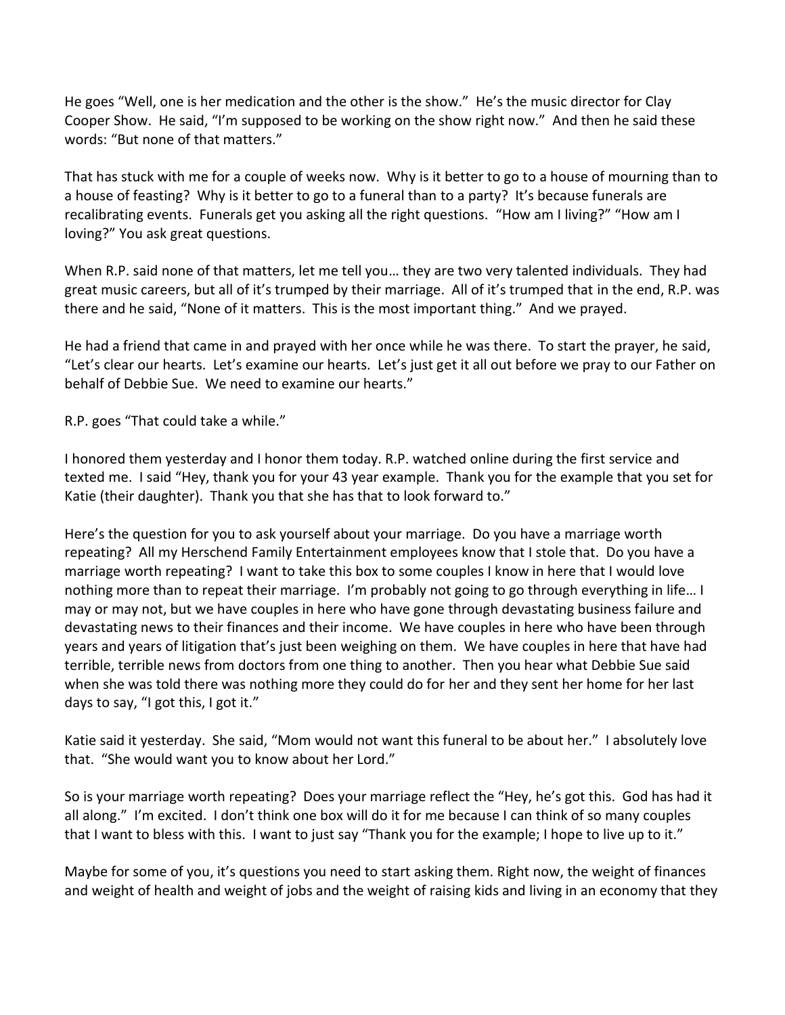He goes "Well, one is her medication and the other is the show." He's the music director for Clay Cooper Show. He said, "I'm supposed to be working on the show right now." And then he said these words: "But none of that matters."

That has stuck with me for a couple of weeks now. Why is it better to go to a house of mourning than to a house of feasting? Why is it better to go to a funeral than to a party? It's because funerals are recalibrating events. Funerals get you asking all the right questions. "How am I living?" "How am I loving?" You ask great questions.

When R.P. said none of that matters, let me tell you… they are two very talented individuals. They had great music careers, but all of it's trumped by their marriage. All of it's trumped that in the end, R.P. was there and he said, "None of it matters. This is the most important thing." And we prayed.

He had a friend that came in and prayed with her once while he was there. To start the prayer, he said, "Let's clear our hearts. Let's examine our hearts. Let's just get it all out before we pray to our Father on behalf of Debbie Sue. We need to examine our hearts."

R.P. goes "That could take a while."

I honored them yesterday and I honor them today. R.P. watched online during the first service and texted me. I said "Hey, thank you for your 43 year example. Thank you for the example that you set for Katie (their daughter). Thank you that she has that to look forward to."

Here's the question for you to ask yourself about your marriage. Do you have a marriage worth repeating? All my Herschend Family Entertainment employees know that I stole that. Do you have a marriage worth repeating? I want to take this box to some couples I know in here that I would love nothing more than to repeat their marriage. I'm probably not going to go through everything in life… I may or may not, but we have couples in here who have gone through devastating business failure and devastating news to their finances and their income. We have couples in here who have been through years and years of litigation that's just been weighing on them. We have couples in here that have had terrible, terrible news from doctors from one thing to another. Then you hear what Debbie Sue said when she was told there was nothing more they could do for her and they sent her home for her last days to say, "I got this, I got it."

Katie said it yesterday. She said, "Mom would not want this funeral to be about her." I absolutely love that. "She would want you to know about her Lord."

So is your marriage worth repeating? Does your marriage reflect the "Hey, he's got this. God has had it all along." I'm excited. I don't think one box will do it for me because I can think of so many couples that I want to bless with this. I want to just say "Thank you for the example; I hope to live up to it."

Maybe for some of you, it's questions you need to start asking them. Right now, the weight of finances and weight of health and weight of jobs and the weight of raising kids and living in an economy that they